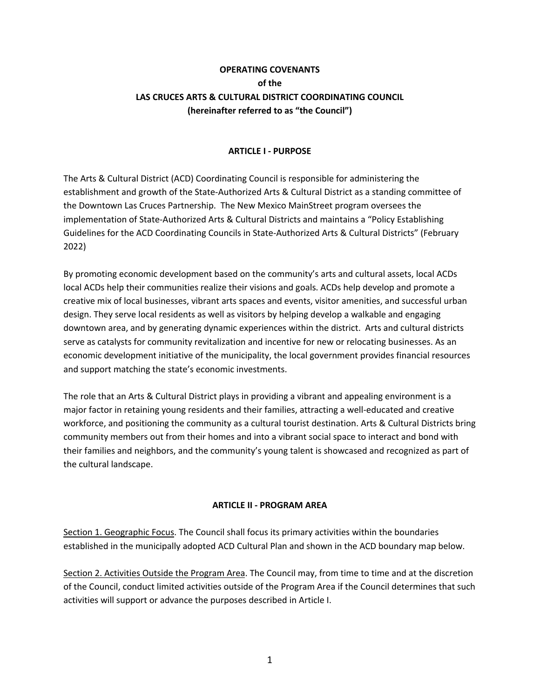# **OPERATING COVENANTS of the LAS CRUCES ARTS & CULTURAL DISTRICT COORDINATING COUNCIL (hereinafter referred to as "the Council")**

#### **ARTICLE I - PURPOSE**

The Arts & Cultural District (ACD) Coordinating Council is responsible for administering the establishment and growth of the State-Authorized Arts & Cultural District as a standing committee of the Downtown Las Cruces Partnership. The New Mexico MainStreet program oversees the implementation of State-Authorized Arts & Cultural Districts and maintains a "Policy Establishing Guidelines for the ACD Coordinating Councils in State-Authorized Arts & Cultural Districts" (February 2022)

By promoting economic development based on the community's arts and cultural assets, local ACDs local ACDs help their communities realize their visions and goals. ACDs help develop and promote a creative mix of local businesses, vibrant arts spaces and events, visitor amenities, and successful urban design. They serve local residents as well as visitors by helping develop a walkable and engaging downtown area, and by generating dynamic experiences within the district. Arts and cultural districts serve as catalysts for community revitalization and incentive for new or relocating businesses. As an economic development initiative of the municipality, the local government provides financial resources and support matching the state's economic investments.

The role that an Arts & Cultural District plays in providing a vibrant and appealing environment is a major factor in retaining young residents and their families, attracting a well-educated and creative workforce, and positioning the community as a cultural tourist destination. Arts & Cultural Districts bring community members out from their homes and into a vibrant social space to interact and bond with their families and neighbors, and the community's young talent is showcased and recognized as part of the cultural landscape.

#### **ARTICLE II - PROGRAM AREA**

Section 1. Geographic Focus. The Council shall focus its primary activities within the boundaries established in the municipally adopted ACD Cultural Plan and shown in the ACD boundary map below.

Section 2. Activities Outside the Program Area. The Council may, from time to time and at the discretion of the Council, conduct limited activities outside of the Program Area if the Council determines that such activities will support or advance the purposes described in Article I.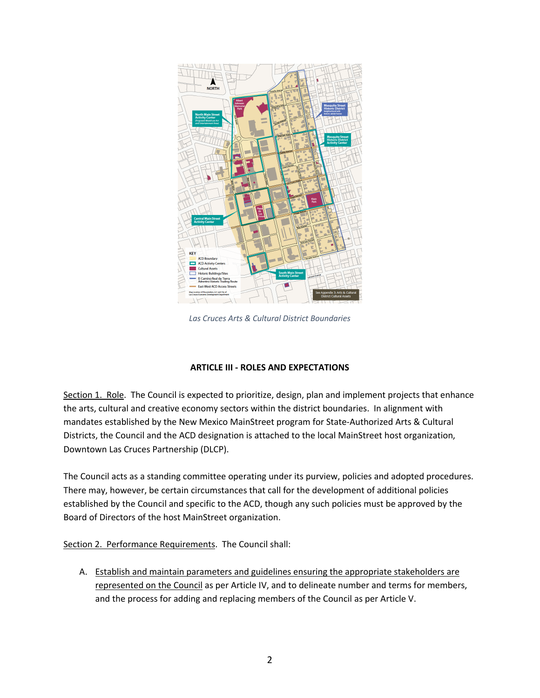

*Las Cruces Arts & Cultural District Boundaries*

### **ARTICLE III - ROLES AND EXPECTATIONS**

Section 1. Role. The Council is expected to prioritize, design, plan and implement projects that enhance the arts, cultural and creative economy sectors within the district boundaries. In alignment with mandates established by the New Mexico MainStreet program for State-Authorized Arts & Cultural Districts, the Council and the ACD designation is attached to the local MainStreet host organization, Downtown Las Cruces Partnership (DLCP).

The Council acts as a standing committee operating under its purview, policies and adopted procedures. There may, however, be certain circumstances that call for the development of additional policies established by the Council and specific to the ACD, though any such policies must be approved by the Board of Directors of the host MainStreet organization.

Section 2. Performance Requirements. The Council shall:

A. Establish and maintain parameters and guidelines ensuring the appropriate stakeholders are represented on the Council as per Article IV, and to delineate number and terms for members, and the process for adding and replacing members of the Council as per Article V.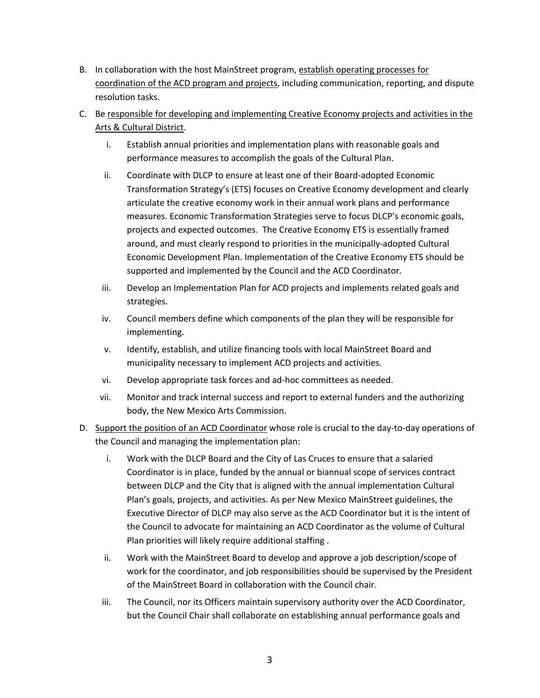- B. In collaboration with the host MainStreet program, establish operating processes for coordination of the ACD program and projects, including communication, reporting, and dispute resolution tasks.
- C. Be responsible for developing and implementing Creative Economy projects and activities in the Arts & Cultural District.
	- i. Establish annual priorities and implementation plans with reasonable goals and performance measures to accomplish the goals of the Cultural Plan.
	- ii. Coordinate with DLCP to ensure at least one of their Board-adopted Economic Transformation Strategy's (ETS) focuses on Creative Economy development and clearly articulate the creative economy work in their annual work plans and performance measures. Economic Transformation Strategies serve to focus DLCP's economic goals, projects and expected outcomes. The Creative Economy ETS is essentially framed around, and must clearly respond to priorities in the municipally-adopted Cultural Economic Development Plan. Implementation of the Creative Economy ETS should be supported and implemented by the Council and the ACD Coordinator.
	- iii. Develop an Implementation Plan for ACD projects and implements related goals and strategies.
	- iv. Council members define which components of the plan they will be responsible for implementing.
	- v. Identify, establish, and utilize financing tools with local MainStreet Board and municipality necessary to implement ACD projects and activities.
	- vi. Develop appropriate task forces and ad-hoc committees as needed.
	- vii. Monitor and track internal success and report to external funders and the authorizing body, the New Mexico Arts Commission.
- D. Support the position of an ACD Coordinator whose role is crucial to the day-to-day operations of the Council and managing the implementation plan:
	- i. Work with the DLCP Board and the City of Las Cruces to ensure that a salaried Coordinator is in place, funded by the annual or biannual scope of services contract between DLCP and the City that is aligned with the annual implementation Cultural Plan's goals, projects, and activities. As per New Mexico MainStreet guidelines, the Executive Director of DLCP may also serve as the ACD Coordinator but it is the intent of the Council to advocate for maintaining an ACD Coordinator as the volume of Cultural Plan priorities will likely require additional staffing .
	- ii. Work with the MainStreet Board to develop and approve a job description/scope of work for the coordinator, and job responsibilities should be supervised by the President of the MainStreet Board in collaboration with the Council chair.
	- iii. The Council, nor its Officers maintain supervisory authority over the ACD Coordinator, but the Council Chair shall collaborate on establishing annual performance goals and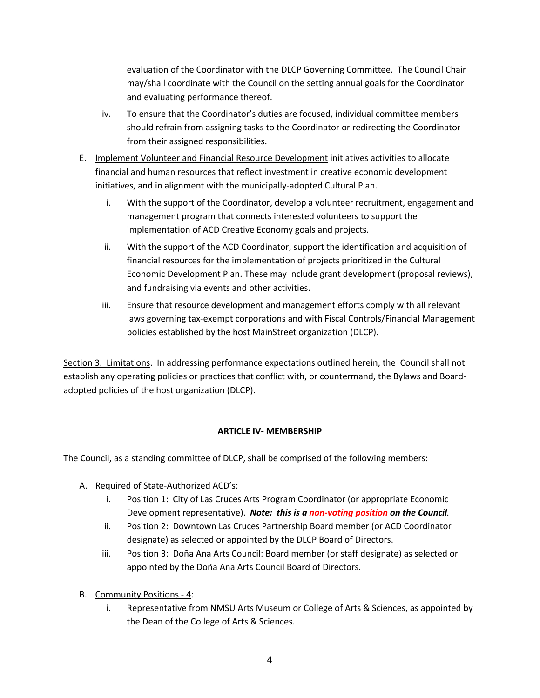evaluation of the Coordinator with the DLCP Governing Committee. The Council Chair may/shall coordinate with the Council on the setting annual goals for the Coordinator and evaluating performance thereof.

- iv. To ensure that the Coordinator's duties are focused, individual committee members should refrain from assigning tasks to the Coordinator or redirecting the Coordinator from their assigned responsibilities.
- E. Implement Volunteer and Financial Resource Development initiatives activities to allocate financial and human resources that reflect investment in creative economic development initiatives, and in alignment with the municipally-adopted Cultural Plan.
	- i. With the support of the Coordinator, develop a volunteer recruitment, engagement and management program that connects interested volunteers to support the implementation of ACD Creative Economy goals and projects.
	- ii. With the support of the ACD Coordinator, support the identification and acquisition of financial resources for the implementation of projects prioritized in the Cultural Economic Development Plan. These may include grant development (proposal reviews), and fundraising via events and other activities.
	- iii. Ensure that resource development and management efforts comply with all relevant laws governing tax-exempt corporations and with Fiscal Controls/Financial Management policies established by the host MainStreet organization (DLCP).

Section 3. Limitations. In addressing performance expectations outlined herein, the Council shall not establish any operating policies or practices that conflict with, or countermand, the Bylaws and Boardadopted policies of the host organization (DLCP).

## **ARTICLE IV- MEMBERSHIP**

The Council, as a standing committee of DLCP, shall be comprised of the following members:

- A. Required of State-Authorized ACD's:
	- i. Position 1: City of Las Cruces Arts Program Coordinator (or appropriate Economic Development representative). *Note: this is a non-voting position on the Council.*
	- ii. Position 2: Downtown Las Cruces Partnership Board member (or ACD Coordinator designate) as selected or appointed by the DLCP Board of Directors.
	- iii. Position 3: Doña Ana Arts Council: Board member (or staff designate) as selected or appointed by the Doña Ana Arts Council Board of Directors.
- B. Community Positions 4:
	- i. Representative from NMSU Arts Museum or College of Arts & Sciences, as appointed by the Dean of the College of Arts & Sciences.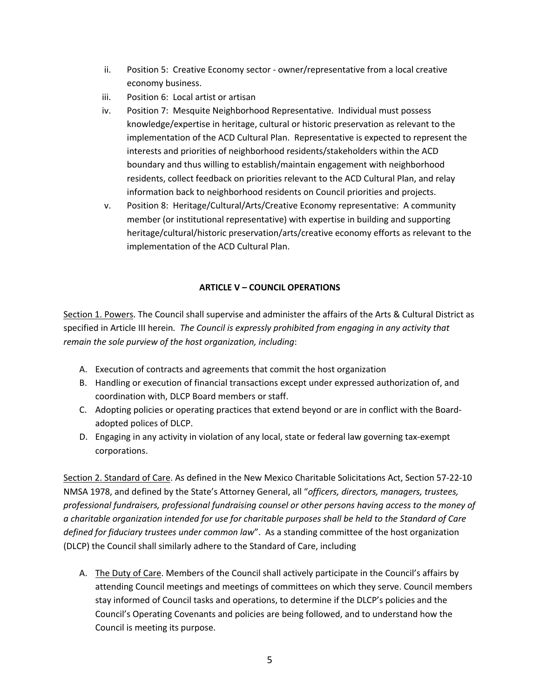- ii. Position 5: Creative Economy sector owner/representative from a local creative economy business.
- iii. Position 6: Local artist or artisan
- iv. Position 7: Mesquite Neighborhood Representative. Individual must possess knowledge/expertise in heritage, cultural or historic preservation as relevant to the implementation of the ACD Cultural Plan. Representative is expected to represent the interests and priorities of neighborhood residents/stakeholders within the ACD boundary and thus willing to establish/maintain engagement with neighborhood residents, collect feedback on priorities relevant to the ACD Cultural Plan, and relay information back to neighborhood residents on Council priorities and projects.
- v. Position 8: Heritage/Cultural/Arts/Creative Economy representative: A community member (or institutional representative) with expertise in building and supporting heritage/cultural/historic preservation/arts/creative economy efforts as relevant to the implementation of the ACD Cultural Plan.

#### **ARTICLE V – COUNCIL OPERATIONS**

Section 1. Powers. The Council shall supervise and administer the affairs of the Arts & Cultural District as specified in Article III herein*. The Council is expressly prohibited from engaging in any activity that remain the sole purview of the host organization, including*:

- A. Execution of contracts and agreements that commit the host organization
- B. Handling or execution of financial transactions except under expressed authorization of, and coordination with, DLCP Board members or staff.
- C. Adopting policies or operating practices that extend beyond or are in conflict with the Boardadopted polices of DLCP.
- D. Engaging in any activity in violation of any local, state or federal law governing tax-exempt corporations.

Section 2. Standard of Care. As defined in the New Mexico Charitable Solicitations Act, Section 57-22-10 NMSA 1978, and defined by the State's Attorney General, all "*officers, directors, managers, trustees, professional fundraisers, professional fundraising counsel or other persons having access to the money of a charitable organization intended for use for charitable purposes shall be held to the Standard of Care defined for fiduciary trustees under common law*". As a standing committee of the host organization (DLCP) the Council shall similarly adhere to the Standard of Care, including

A. The Duty of Care. Members of the Council shall actively participate in the Council's affairs by attending Council meetings and meetings of committees on which they serve. Council members stay informed of Council tasks and operations, to determine if the DLCP's policies and the Council's Operating Covenants and policies are being followed, and to understand how the Council is meeting its purpose.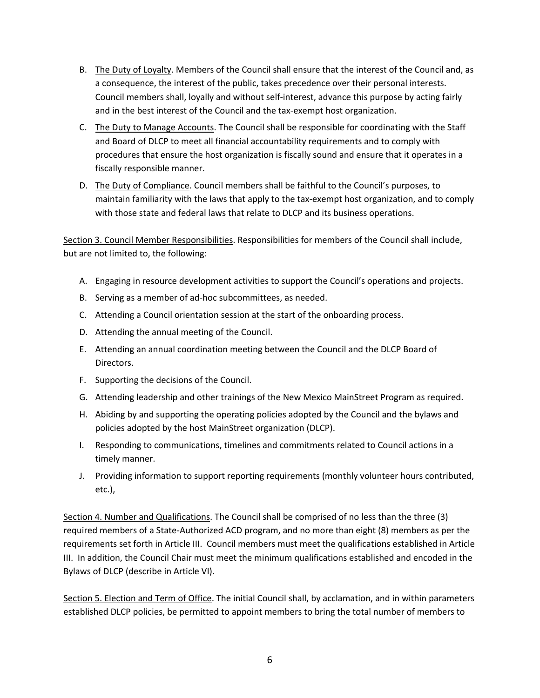- B. The Duty of Loyalty. Members of the Council shall ensure that the interest of the Council and, as a consequence, the interest of the public, takes precedence over their personal interests. Council members shall, loyally and without self-interest, advance this purpose by acting fairly and in the best interest of the Council and the tax-exempt host organization.
- C. The Duty to Manage Accounts. The Council shall be responsible for coordinating with the Staff and Board of DLCP to meet all financial accountability requirements and to comply with procedures that ensure the host organization is fiscally sound and ensure that it operates in a fiscally responsible manner.
- D. The Duty of Compliance. Council members shall be faithful to the Council's purposes, to maintain familiarity with the laws that apply to the tax-exempt host organization, and to comply with those state and federal laws that relate to DLCP and its business operations.

Section 3. Council Member Responsibilities. Responsibilities for members of the Council shall include, but are not limited to, the following:

- A. Engaging in resource development activities to support the Council's operations and projects.
- B. Serving as a member of ad-hoc subcommittees, as needed.
- C. Attending a Council orientation session at the start of the onboarding process.
- D. Attending the annual meeting of the Council.
- E. Attending an annual coordination meeting between the Council and the DLCP Board of Directors.
- F. Supporting the decisions of the Council.
- G. Attending leadership and other trainings of the New Mexico MainStreet Program as required.
- H. Abiding by and supporting the operating policies adopted by the Council and the bylaws and policies adopted by the host MainStreet organization (DLCP).
- I. Responding to communications, timelines and commitments related to Council actions in a timely manner.
- J. Providing information to support reporting requirements (monthly volunteer hours contributed, etc.),

Section 4. Number and Qualifications. The Council shall be comprised of no less than the three (3) required members of a State-Authorized ACD program, and no more than eight (8) members as per the requirements set forth in Article III. Council members must meet the qualifications established in Article III. In addition, the Council Chair must meet the minimum qualifications established and encoded in the Bylaws of DLCP (describe in Article VI).

Section 5. Election and Term of Office. The initial Council shall, by acclamation, and in within parameters established DLCP policies, be permitted to appoint members to bring the total number of members to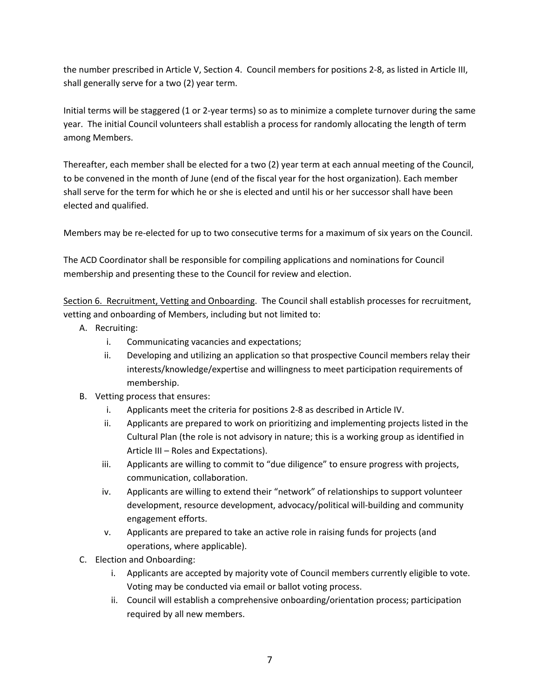the number prescribed in Article V, Section 4. Council members for positions 2-8, as listed in Article III, shall generally serve for a two (2) year term.

Initial terms will be staggered (1 or 2-year terms) so as to minimize a complete turnover during the same year. The initial Council volunteers shall establish a process for randomly allocating the length of term among Members.

Thereafter, each member shall be elected for a two (2) year term at each annual meeting of the Council, to be convened in the month of June (end of the fiscal year for the host organization). Each member shall serve for the term for which he or she is elected and until his or her successor shall have been elected and qualified.

Members may be re-elected for up to two consecutive terms for a maximum of six years on the Council.

The ACD Coordinator shall be responsible for compiling applications and nominations for Council membership and presenting these to the Council for review and election.

Section 6. Recruitment, Vetting and Onboarding. The Council shall establish processes for recruitment, vetting and onboarding of Members, including but not limited to:

- A. Recruiting:
	- i. Communicating vacancies and expectations;
	- ii. Developing and utilizing an application so that prospective Council members relay their interests/knowledge/expertise and willingness to meet participation requirements of membership.
- B. Vetting process that ensures:
	- i. Applicants meet the criteria for positions 2-8 as described in Article IV.
	- ii. Applicants are prepared to work on prioritizing and implementing projects listed in the Cultural Plan (the role is not advisory in nature; this is a working group as identified in Article III – Roles and Expectations).
	- iii. Applicants are willing to commit to "due diligence" to ensure progress with projects, communication, collaboration.
	- iv. Applicants are willing to extend their "network" of relationships to support volunteer development, resource development, advocacy/political will-building and community engagement efforts.
	- v. Applicants are prepared to take an active role in raising funds for projects (and operations, where applicable).
- C. Election and Onboarding:
	- i. Applicants are accepted by majority vote of Council members currently eligible to vote. Voting may be conducted via email or ballot voting process.
	- ii. Council will establish a comprehensive onboarding/orientation process; participation required by all new members.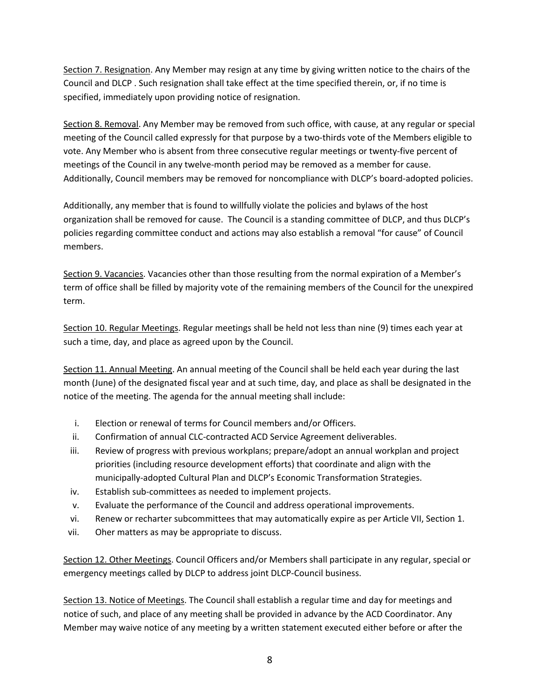Section 7. Resignation. Any Member may resign at any time by giving written notice to the chairs of the Council and DLCP . Such resignation shall take effect at the time specified therein, or, if no time is specified, immediately upon providing notice of resignation.

Section 8. Removal. Any Member may be removed from such office, with cause, at any regular or special meeting of the Council called expressly for that purpose by a two-thirds vote of the Members eligible to vote. Any Member who is absent from three consecutive regular meetings or twenty-five percent of meetings of the Council in any twelve-month period may be removed as a member for cause. Additionally, Council members may be removed for noncompliance with DLCP's board-adopted policies.

Additionally, any member that is found to willfully violate the policies and bylaws of the host organization shall be removed for cause. The Council is a standing committee of DLCP, and thus DLCP's policies regarding committee conduct and actions may also establish a removal "for cause" of Council members.

Section 9. Vacancies. Vacancies other than those resulting from the normal expiration of a Member's term of office shall be filled by majority vote of the remaining members of the Council for the unexpired term.

Section 10. Regular Meetings. Regular meetings shall be held not less than nine (9) times each year at such a time, day, and place as agreed upon by the Council.

Section 11. Annual Meeting. An annual meeting of the Council shall be held each year during the last month (June) of the designated fiscal year and at such time, day, and place as shall be designated in the notice of the meeting. The agenda for the annual meeting shall include:

- i. Election or renewal of terms for Council members and/or Officers.
- ii. Confirmation of annual CLC-contracted ACD Service Agreement deliverables.
- iii. Review of progress with previous workplans; prepare/adopt an annual workplan and project priorities (including resource development efforts) that coordinate and align with the municipally-adopted Cultural Plan and DLCP's Economic Transformation Strategies.
- iv. Establish sub-committees as needed to implement projects.
- v. Evaluate the performance of the Council and address operational improvements.
- vi. Renew or recharter subcommittees that may automatically expire as per Article VII, Section 1.
- vii. Oher matters as may be appropriate to discuss.

Section 12. Other Meetings. Council Officers and/or Members shall participate in any regular, special or emergency meetings called by DLCP to address joint DLCP-Council business.

Section 13. Notice of Meetings. The Council shall establish a regular time and day for meetings and notice of such, and place of any meeting shall be provided in advance by the ACD Coordinator. Any Member may waive notice of any meeting by a written statement executed either before or after the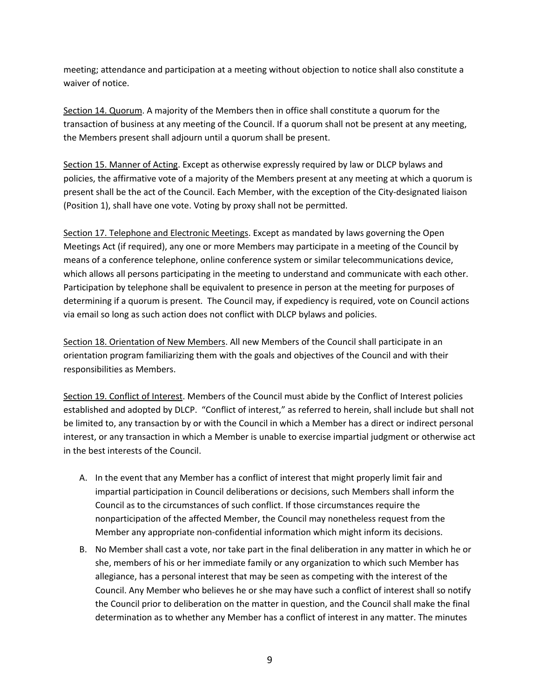meeting; attendance and participation at a meeting without objection to notice shall also constitute a waiver of notice.

Section 14. Quorum. A majority of the Members then in office shall constitute a quorum for the transaction of business at any meeting of the Council. If a quorum shall not be present at any meeting, the Members present shall adjourn until a quorum shall be present.

Section 15. Manner of Acting. Except as otherwise expressly required by law or DLCP bylaws and policies, the affirmative vote of a majority of the Members present at any meeting at which a quorum is present shall be the act of the Council. Each Member, with the exception of the City-designated liaison (Position 1), shall have one vote. Voting by proxy shall not be permitted.

Section 17. Telephone and Electronic Meetings. Except as mandated by laws governing the Open Meetings Act (if required), any one or more Members may participate in a meeting of the Council by means of a conference telephone, online conference system or similar telecommunications device, which allows all persons participating in the meeting to understand and communicate with each other. Participation by telephone shall be equivalent to presence in person at the meeting for purposes of determining if a quorum is present. The Council may, if expediency is required, vote on Council actions via email so long as such action does not conflict with DLCP bylaws and policies.

Section 18. Orientation of New Members. All new Members of the Council shall participate in an orientation program familiarizing them with the goals and objectives of the Council and with their responsibilities as Members.

Section 19. Conflict of Interest. Members of the Council must abide by the Conflict of Interest policies established and adopted by DLCP. "Conflict of interest," as referred to herein, shall include but shall not be limited to, any transaction by or with the Council in which a Member has a direct or indirect personal interest, or any transaction in which a Member is unable to exercise impartial judgment or otherwise act in the best interests of the Council.

- A. In the event that any Member has a conflict of interest that might properly limit fair and impartial participation in Council deliberations or decisions, such Members shall inform the Council as to the circumstances of such conflict. If those circumstances require the nonparticipation of the affected Member, the Council may nonetheless request from the Member any appropriate non-confidential information which might inform its decisions.
- B. No Member shall cast a vote, nor take part in the final deliberation in any matter in which he or she, members of his or her immediate family or any organization to which such Member has allegiance, has a personal interest that may be seen as competing with the interest of the Council. Any Member who believes he or she may have such a conflict of interest shall so notify the Council prior to deliberation on the matter in question, and the Council shall make the final determination as to whether any Member has a conflict of interest in any matter. The minutes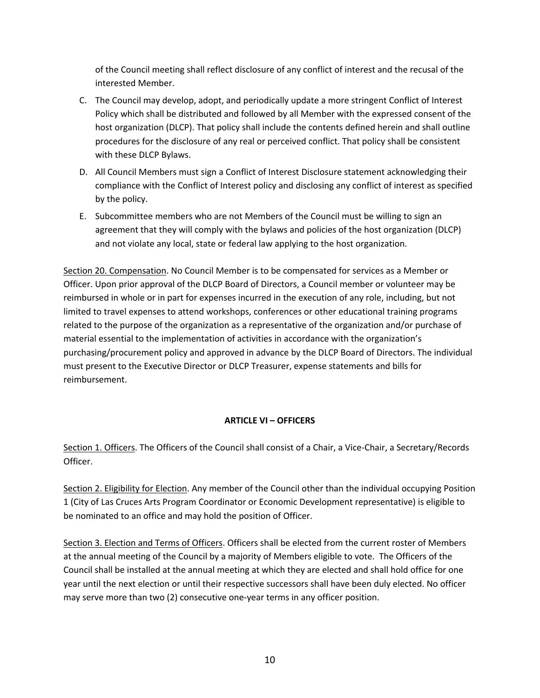of the Council meeting shall reflect disclosure of any conflict of interest and the recusal of the interested Member.

- C. The Council may develop, adopt, and periodically update a more stringent Conflict of Interest Policy which shall be distributed and followed by all Member with the expressed consent of the host organization (DLCP). That policy shall include the contents defined herein and shall outline procedures for the disclosure of any real or perceived conflict. That policy shall be consistent with these DLCP Bylaws.
- D. All Council Members must sign a Conflict of Interest Disclosure statement acknowledging their compliance with the Conflict of Interest policy and disclosing any conflict of interest as specified by the policy.
- E. Subcommittee members who are not Members of the Council must be willing to sign an agreement that they will comply with the bylaws and policies of the host organization (DLCP) and not violate any local, state or federal law applying to the host organization.

Section 20. Compensation. No Council Member is to be compensated for services as a Member or Officer. Upon prior approval of the DLCP Board of Directors, a Council member or volunteer may be reimbursed in whole or in part for expenses incurred in the execution of any role, including, but not limited to travel expenses to attend workshops, conferences or other educational training programs related to the purpose of the organization as a representative of the organization and/or purchase of material essential to the implementation of activities in accordance with the organization's purchasing/procurement policy and approved in advance by the DLCP Board of Directors. The individual must present to the Executive Director or DLCP Treasurer, expense statements and bills for reimbursement.

### **ARTICLE VI – OFFICERS**

Section 1. Officers. The Officers of the Council shall consist of a Chair, a Vice-Chair, a Secretary/Records Officer.

Section 2. Eligibility for Election. Any member of the Council other than the individual occupying Position 1 (City of Las Cruces Arts Program Coordinator or Economic Development representative) is eligible to be nominated to an office and may hold the position of Officer.

Section 3. Election and Terms of Officers. Officers shall be elected from the current roster of Members at the annual meeting of the Council by a majority of Members eligible to vote. The Officers of the Council shall be installed at the annual meeting at which they are elected and shall hold office for one year until the next election or until their respective successors shall have been duly elected. No officer may serve more than two (2) consecutive one-year terms in any officer position.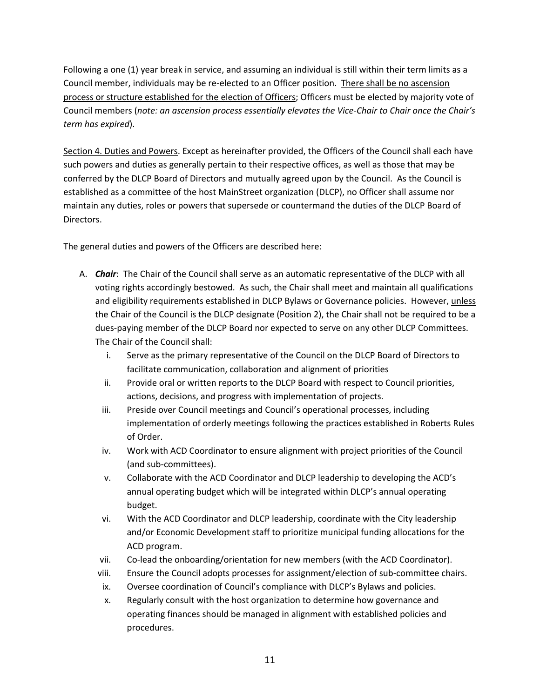Following a one (1) year break in service, and assuming an individual is still within their term limits as a Council member, individuals may be re-elected to an Officer position. There shall be no ascension process or structure established for the election of Officers; Officers must be elected by majority vote of Council members (*note: an ascension process essentially elevates the Vice-Chair to Chair once the Chair's term has expired*).

Section 4. Duties and Powers. Except as hereinafter provided, the Officers of the Council shall each have such powers and duties as generally pertain to their respective offices, as well as those that may be conferred by the DLCP Board of Directors and mutually agreed upon by the Council. As the Council is established as a committee of the host MainStreet organization (DLCP), no Officer shall assume nor maintain any duties, roles or powers that supersede or countermand the duties of the DLCP Board of Directors.

The general duties and powers of the Officers are described here:

- A. *Chair*: The Chair of the Council shall serve as an automatic representative of the DLCP with all voting rights accordingly bestowed. As such, the Chair shall meet and maintain all qualifications and eligibility requirements established in DLCP Bylaws or Governance policies. However, *unless* the Chair of the Council is the DLCP designate (Position 2), the Chair shall not be required to be a dues-paying member of the DLCP Board nor expected to serve on any other DLCP Committees. The Chair of the Council shall:
	- i. Serve as the primary representative of the Council on the DLCP Board of Directors to facilitate communication, collaboration and alignment of priorities
	- ii. Provide oral or written reports to the DLCP Board with respect to Council priorities, actions, decisions, and progress with implementation of projects.
	- iii. Preside over Council meetings and Council's operational processes, including implementation of orderly meetings following the practices established in Roberts Rules of Order.
	- iv. Work with ACD Coordinator to ensure alignment with project priorities of the Council (and sub-committees).
	- v. Collaborate with the ACD Coordinator and DLCP leadership to developing the ACD's annual operating budget which will be integrated within DLCP's annual operating budget.
	- vi. With the ACD Coordinator and DLCP leadership, coordinate with the City leadership and/or Economic Development staff to prioritize municipal funding allocations for the ACD program.
	- vii. Co-lead the onboarding/orientation for new members (with the ACD Coordinator).
	- viii. Ensure the Council adopts processes for assignment/election of sub-committee chairs.
	- ix. Oversee coordination of Council's compliance with DLCP's Bylaws and policies.
	- x. Regularly consult with the host organization to determine how governance and operating finances should be managed in alignment with established policies and procedures.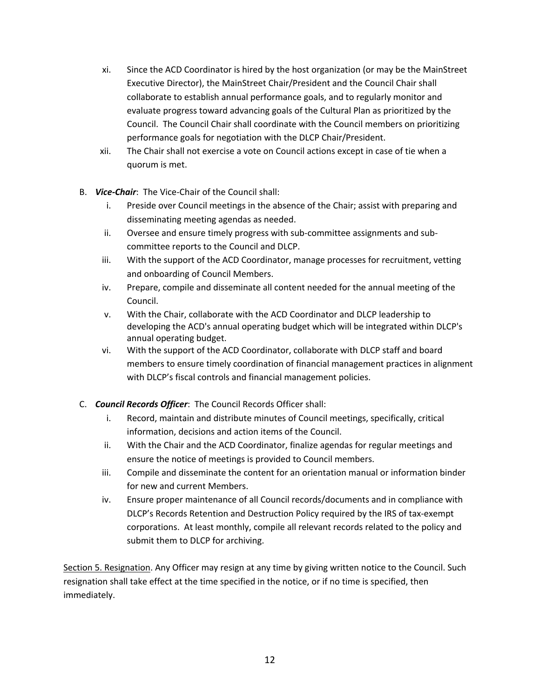- xi. Since the ACD Coordinator is hired by the host organization (or may be the MainStreet Executive Director), the MainStreet Chair/President and the Council Chair shall collaborate to establish annual performance goals, and to regularly monitor and evaluate progress toward advancing goals of the Cultural Plan as prioritized by the Council. The Council Chair shall coordinate with the Council members on prioritizing performance goals for negotiation with the DLCP Chair/President.
- xii. The Chair shall not exercise a vote on Council actions except in case of tie when a quorum is met.
- B. *Vice-Chair*: The Vice-Chair of the Council shall:
	- i. Preside over Council meetings in the absence of the Chair; assist with preparing and disseminating meeting agendas as needed.
	- ii. Oversee and ensure timely progress with sub-committee assignments and subcommittee reports to the Council and DLCP.
	- iii. With the support of the ACD Coordinator, manage processes for recruitment, vetting and onboarding of Council Members.
	- iv. Prepare, compile and disseminate all content needed for the annual meeting of the Council.
	- v. With the Chair, collaborate with the ACD Coordinator and DLCP leadership to developing the ACD's annual operating budget which will be integrated within DLCP's annual operating budget.
	- vi. With the support of the ACD Coordinator, collaborate with DLCP staff and board members to ensure timely coordination of financial management practices in alignment with DLCP's fiscal controls and financial management policies.
- C. *Council Records Officer*: The Council Records Officer shall:
	- i. Record, maintain and distribute minutes of Council meetings, specifically, critical information, decisions and action items of the Council.
	- ii. With the Chair and the ACD Coordinator, finalize agendas for regular meetings and ensure the notice of meetings is provided to Council members.
	- iii. Compile and disseminate the content for an orientation manual or information binder for new and current Members.
	- iv. Ensure proper maintenance of all Council records/documents and in compliance with DLCP's Records Retention and Destruction Policy required by the IRS of tax-exempt corporations. At least monthly, compile all relevant records related to the policy and submit them to DLCP for archiving.

Section 5. Resignation. Any Officer may resign at any time by giving written notice to the Council. Such resignation shall take effect at the time specified in the notice, or if no time is specified, then immediately.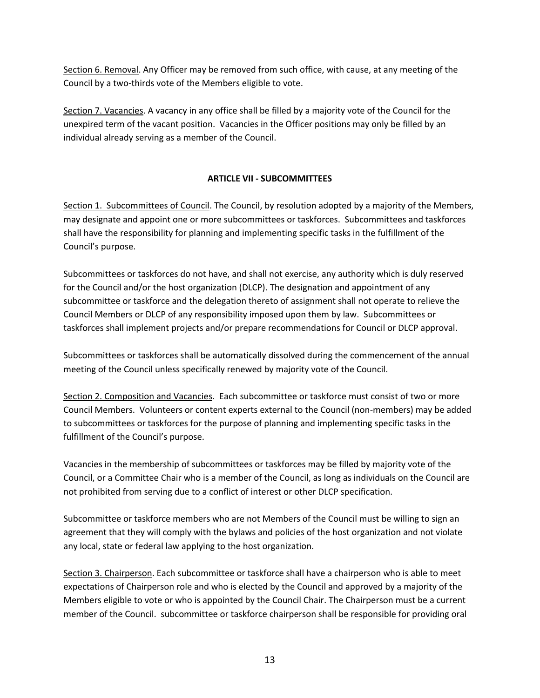Section 6. Removal. Any Officer may be removed from such office, with cause, at any meeting of the Council by a two-thirds vote of the Members eligible to vote.

Section 7. Vacancies. A vacancy in any office shall be filled by a majority vote of the Council for the unexpired term of the vacant position. Vacancies in the Officer positions may only be filled by an individual already serving as a member of the Council.

### **ARTICLE VII - SUBCOMMITTEES**

Section 1. Subcommittees of Council. The Council, by resolution adopted by a majority of the Members, may designate and appoint one or more subcommittees or taskforces. Subcommittees and taskforces shall have the responsibility for planning and implementing specific tasks in the fulfillment of the Council's purpose.

Subcommittees or taskforces do not have, and shall not exercise, any authority which is duly reserved for the Council and/or the host organization (DLCP). The designation and appointment of any subcommittee or taskforce and the delegation thereto of assignment shall not operate to relieve the Council Members or DLCP of any responsibility imposed upon them by law. Subcommittees or taskforces shall implement projects and/or prepare recommendations for Council or DLCP approval.

Subcommittees or taskforces shall be automatically dissolved during the commencement of the annual meeting of the Council unless specifically renewed by majority vote of the Council.

Section 2. Composition and Vacancies. Each subcommittee or taskforce must consist of two or more Council Members. Volunteers or content experts external to the Council (non-members) may be added to subcommittees or taskforces for the purpose of planning and implementing specific tasks in the fulfillment of the Council's purpose.

Vacancies in the membership of subcommittees or taskforces may be filled by majority vote of the Council, or a Committee Chair who is a member of the Council, as long as individuals on the Council are not prohibited from serving due to a conflict of interest or other DLCP specification.

Subcommittee or taskforce members who are not Members of the Council must be willing to sign an agreement that they will comply with the bylaws and policies of the host organization and not violate any local, state or federal law applying to the host organization.

Section 3. Chairperson. Each subcommittee or taskforce shall have a chairperson who is able to meet expectations of Chairperson role and who is elected by the Council and approved by a majority of the Members eligible to vote or who is appointed by the Council Chair. The Chairperson must be a current member of the Council. subcommittee or taskforce chairperson shall be responsible for providing oral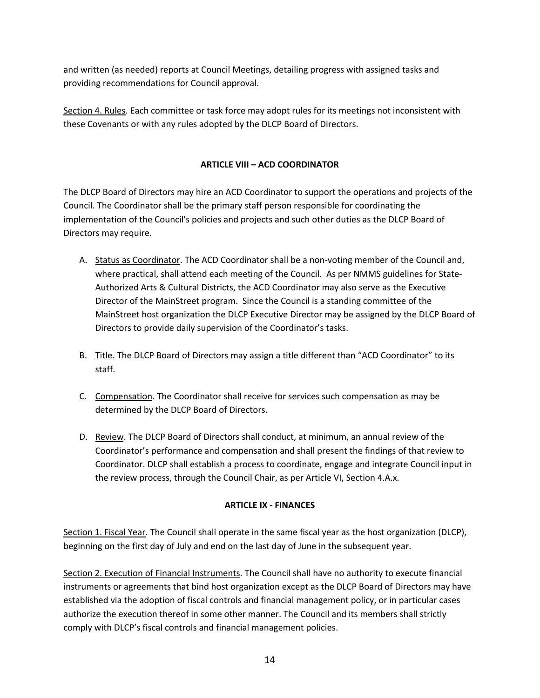and written (as needed) reports at Council Meetings, detailing progress with assigned tasks and providing recommendations for Council approval.

Section 4. Rules. Each committee or task force may adopt rules for its meetings not inconsistent with these Covenants or with any rules adopted by the DLCP Board of Directors.

# **ARTICLE VIII – ACD COORDINATOR**

The DLCP Board of Directors may hire an ACD Coordinator to support the operations and projects of the Council. The Coordinator shall be the primary staff person responsible for coordinating the implementation of the Council's policies and projects and such other duties as the DLCP Board of Directors may require.

- A. Status as Coordinator. The ACD Coordinator shall be a non-voting member of the Council and, where practical, shall attend each meeting of the Council. As per NMMS guidelines for State-Authorized Arts & Cultural Districts, the ACD Coordinator may also serve as the Executive Director of the MainStreet program. Since the Council is a standing committee of the MainStreet host organization the DLCP Executive Director may be assigned by the DLCP Board of Directors to provide daily supervision of the Coordinator's tasks.
- B. Title. The DLCP Board of Directors may assign a title different than "ACD Coordinator" to its staff.
- C. Compensation. The Coordinator shall receive for services such compensation as may be determined by the DLCP Board of Directors.
- D. Review. The DLCP Board of Directors shall conduct, at minimum, an annual review of the Coordinator's performance and compensation and shall present the findings of that review to Coordinator. DLCP shall establish a process to coordinate, engage and integrate Council input in the review process, through the Council Chair, as per Article VI, Section 4.A.x.

## **ARTICLE IX - FINANCES**

Section 1. Fiscal Year. The Council shall operate in the same fiscal year as the host organization (DLCP), beginning on the first day of July and end on the last day of June in the subsequent year.

Section 2. Execution of Financial Instruments. The Council shall have no authority to execute financial instruments or agreements that bind host organization except as the DLCP Board of Directors may have established via the adoption of fiscal controls and financial management policy, or in particular cases authorize the execution thereof in some other manner. The Council and its members shall strictly comply with DLCP's fiscal controls and financial management policies.